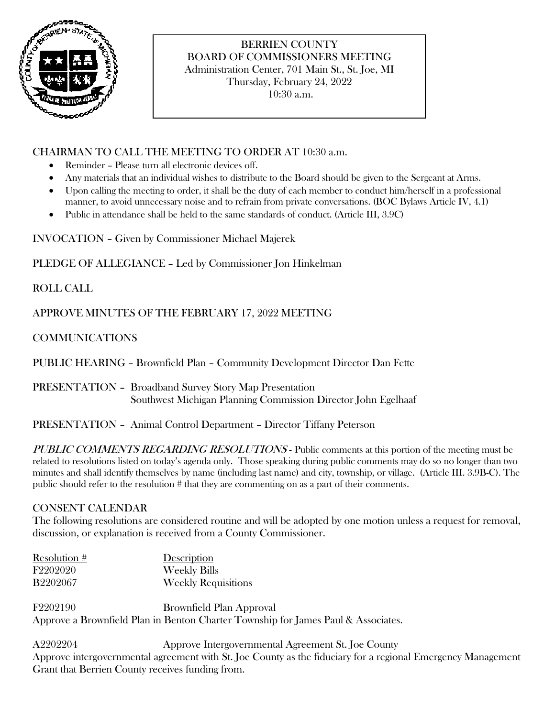

# BERRIEN COUNTY BOARD OF COMMISSIONERS MEETING Administration Center, 701 Main St., St. Joe, MI Thursday, February 24, 2022

10:30 a.m.

## CHAIRMAN TO CALL THE MEETING TO ORDER AT 10:30 a.m.

- Reminder Please turn all electronic devices off.
- Any materials that an individual wishes to distribute to the Board should be given to the Sergeant at Arms.
- Upon calling the meeting to order, it shall be the duty of each member to conduct him/herself in a professional manner, to avoid unnecessary noise and to refrain from private conversations. (BOC Bylaws Article IV, 4.1)
- Public in attendance shall be held to the same standards of conduct. (Article III, 3.9C)

INVOCATION – Given by Commissioner Michael Majerek

PLEDGE OF ALLEGIANCE – Led by Commissioner Jon Hinkelman

ROLL CALL

APPROVE MINUTES OF THE FEBRUARY 17, 2022 MEETING

## COMMUNICATIONS

PUBLIC HEARING – Brownfield Plan – Community Development Director Dan Fette

PRESENTATION – Broadband Survey Story Map Presentation Southwest Michigan Planning Commission Director John Egelhaaf

#### PRESENTATION – Animal Control Department – Director Tiffany Peterson

PUBLIC COMMENTS REGARDING RESOLUTIONS - Public comments at this portion of the meeting must be related to resolutions listed on today's agenda only. Those speaking during public comments may do so no longer than two minutes and shall identify themselves by name (including last name) and city, township, or village. (Article III. 3.9B-C). The public should refer to the resolution # that they are commenting on as a part of their comments.

#### CONSENT CALENDAR

The following resolutions are considered routine and will be adopted by one motion unless a request for removal, discussion, or explanation is received from a County Commissioner.

| Resolution $#$  | Description                |
|-----------------|----------------------------|
| F2202020        | <b>Weekly Bills</b>        |
| <b>B2202067</b> | <b>Weekly Requisitions</b> |

F2202190 Brownfield Plan Approval Approve a Brownfield Plan in Benton Charter Township for James Paul & Associates.

A2202204 Approve Intergovernmental Agreement St. Joe County Approve intergovernmental agreement with St. Joe County as the fiduciary for a regional Emergency Management Grant that Berrien County receives funding from.